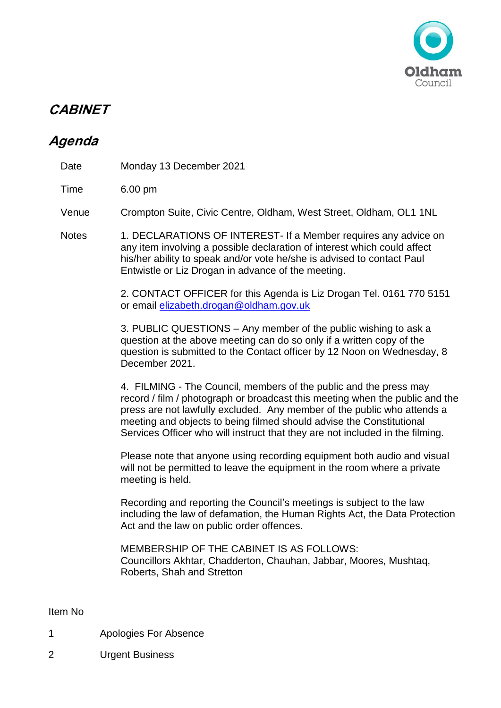

## **CABINET**

## **Agenda**

| Time         | 6.00 pm                                                                                                                                                                                                                                                                                                                                                                               |
|--------------|---------------------------------------------------------------------------------------------------------------------------------------------------------------------------------------------------------------------------------------------------------------------------------------------------------------------------------------------------------------------------------------|
| Venue        | Crompton Suite, Civic Centre, Oldham, West Street, Oldham, OL1 1NL                                                                                                                                                                                                                                                                                                                    |
| <b>Notes</b> | 1. DECLARATIONS OF INTEREST- If a Member requires any advice on<br>any item involving a possible declaration of interest which could affect<br>his/her ability to speak and/or vote he/she is advised to contact Paul<br>Entwistle or Liz Drogan in advance of the meeting.                                                                                                           |
|              | 2. CONTACT OFFICER for this Agenda is Liz Drogan Tel. 0161 770 5151<br>or email elizabeth.drogan@oldham.gov.uk                                                                                                                                                                                                                                                                        |
|              | 3. PUBLIC QUESTIONS – Any member of the public wishing to ask a<br>question at the above meeting can do so only if a written copy of the<br>question is submitted to the Contact officer by 12 Noon on Wednesday, 8<br>December 2021.                                                                                                                                                 |
|              | 4. FILMING - The Council, members of the public and the press may<br>record / film / photograph or broadcast this meeting when the public and the<br>press are not lawfully excluded. Any member of the public who attends a<br>meeting and objects to being filmed should advise the Constitutional<br>Services Officer who will instruct that they are not included in the filming. |
|              | Please note that anyone using recording equipment both audio and visual<br>will not be permitted to leave the equipment in the room where a private<br>meeting is held.                                                                                                                                                                                                               |
|              | Recording and reporting the Council's meetings is subject to the law<br>including the law of defamation, the Human Rights Act, the Data Protection<br>Act and the law on public order offences.                                                                                                                                                                                       |
|              | <b>MEMBERSHIP OF THE CABINET IS AS FOLLOWS:</b><br>Councillors Akhtar, Chadderton, Chauhan, Jabbar, Moores, Mushtaq,<br>Roberts, Shah and Stretton                                                                                                                                                                                                                                    |
| Item No      |                                                                                                                                                                                                                                                                                                                                                                                       |

- 1 Apologies For Absence
- 2 Urgent Business